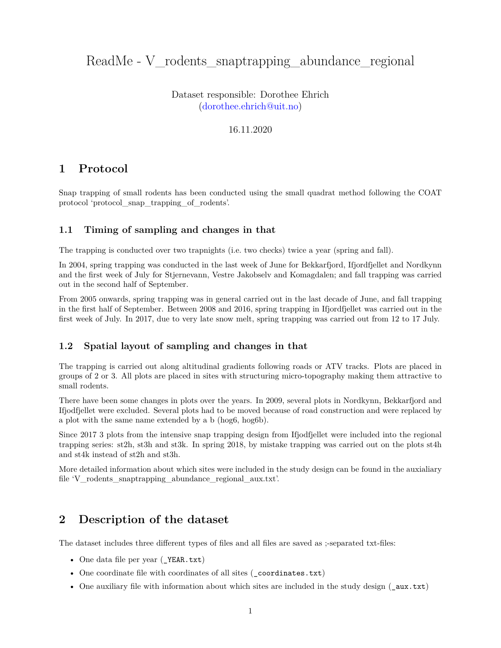# ReadMe - V\_rodents\_snaptrapping\_abundance\_regional

Dataset responsible: Dorothee Ehrich [\(dorothee.ehrich@uit.no\)](mailto:dorothee.ehrich@uit.no)

### 16.11.2020

# **1 Protocol**

Snap trapping of small rodents has been conducted using the small quadrat method following the COAT protocol 'protocol\_snap\_trapping\_of\_rodents'.

#### **1.1 Timing of sampling and changes in that**

The trapping is conducted over two trapnights (i.e. two checks) twice a year (spring and fall).

In 2004, spring trapping was conducted in the last week of June for Bekkarfjord, Ifjordfjellet and Nordkynn and the first week of July for Stjernevann, Vestre Jakobselv and Komagdalen; and fall trapping was carried out in the second half of September.

From 2005 onwards, spring trapping was in general carried out in the last decade of June, and fall trapping in the first half of September. Between 2008 and 2016, spring trapping in Ifjordfjellet was carried out in the first week of July. In 2017, due to very late snow melt, spring trapping was carried out from 12 to 17 July.

### **1.2 Spatial layout of sampling and changes in that**

The trapping is carried out along altitudinal gradients following roads or ATV tracks. Plots are placed in groups of 2 or 3. All plots are placed in sites with structuring micro-topography making them attractive to small rodents.

There have been some changes in plots over the years. In 2009, several plots in Nordkynn, Bekkarfjord and Ifjodfjellet were excluded. Several plots had to be moved because of road construction and were replaced by a plot with the same name extended by a b (hog6, hog6b).

Since 2017 3 plots from the intensive snap trapping design from Ifjodfjellet were included into the regional trapping series: st2h, st3h and st3k. In spring 2018, by mistake trapping was carried out on the plots st4h and st4k instead of st2h and st3h.

More detailed information about which sites were included in the study design can be found in the auxialiary file 'V rodents snaptrapping abundance regional aux.txt'.

## **2 Description of the dataset**

The dataset includes three different types of files and all files are saved as ;-separated txt-files:

- One data file per year (YEAR.txt)
- One coordinate file with coordinates of all sites ( coordinates.txt)
- One auxiliary file with information about which sites are included in the study design (\_aux.txt)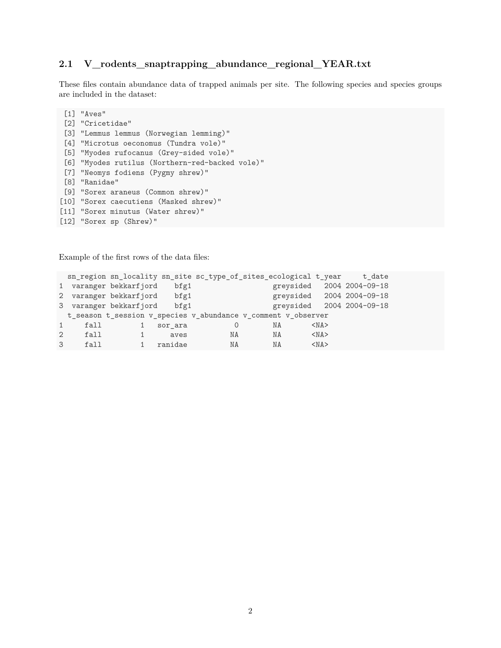# **2.1 V\_rodents\_snaptrapping\_abundance\_regional\_YEAR.txt**

These files contain abundance data of trapped animals per site. The following species and species groups are included in the dataset:

```
[1] "Aves"
 [2] "Cricetidae"
 [3] "Lemmus lemmus (Norwegian lemming)"
 [4] "Microtus oeconomus (Tundra vole)"
 [5] "Myodes rufocanus (Grey-sided vole)"
[6] "Myodes rutilus (Northern-red-backed vole)"
 [7] "Neomys fodiens (Pygmy shrew)"
[8] "Ranidae"
[9] "Sorex araneus (Common shrew)"
[10] "Sorex caecutiens (Masked shrew)"
[11] "Sorex minutus (Water shrew)"
[12] "Sorex sp (Shrew)"
```
Example of the first rows of the data files:

|               |                                                               | sn_region sn_locality sn_site sc_type_of_sites_ecological t_year |         |    |    |           |            | t date                    |  |
|---------------|---------------------------------------------------------------|------------------------------------------------------------------|---------|----|----|-----------|------------|---------------------------|--|
|               |                                                               | 1 varanger bekkarfjord                                           | bfg1    |    |    | greysided |            | 2004 2004-09-18           |  |
|               |                                                               | 2 varanger bekkarfjord                                           | bfg1    |    |    |           |            | greysided 2004 2004-09-18 |  |
|               |                                                               | 3 varanger bekkarfjord                                           | bff     |    |    | greysided |            | 2004 2004-09-18           |  |
|               | t_season t_session v_species v_abundance v_comment v_observer |                                                                  |         |    |    |           |            |                           |  |
|               | fall                                                          |                                                                  | sor ara |    | ΝA |           | $<$ NA $>$ |                           |  |
| 2             | fall                                                          |                                                                  | aves    | ΝA | NA |           | $<$ NA $>$ |                           |  |
| $\mathcal{B}$ | f <sub>a</sub> 11                                             |                                                                  | ranidae | NA | NA |           | $<$ NA $>$ |                           |  |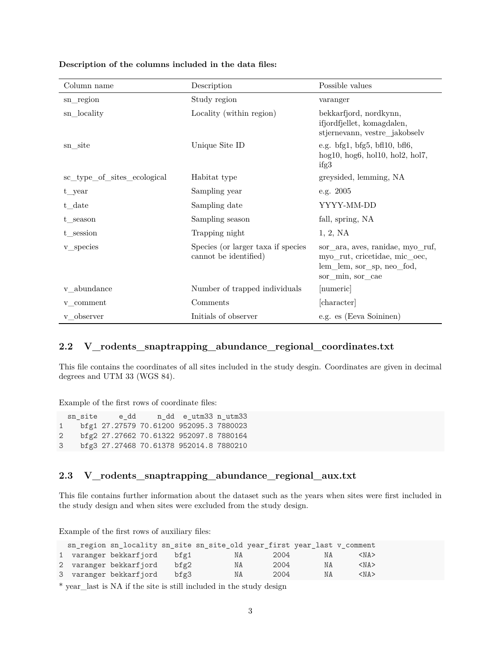| Column name                 | Description                                                 | Possible values                                                                                                    |  |  |
|-----------------------------|-------------------------------------------------------------|--------------------------------------------------------------------------------------------------------------------|--|--|
| sn_region                   | Study region                                                | varanger                                                                                                           |  |  |
| sn_locality                 | Locality (within region)                                    | bekkarfjord, nordkynn,<br>ifjordfjellet, komagdalen,<br>stjernevann, vestre_jakobselv                              |  |  |
| sn_site                     | Unique Site ID                                              | e.g. bfg1, bfg5, bfl10, bfl6,<br>hog $10$ , hog $6$ , hol $10$ , hol $2$ , hol $7$ ,<br>ifg3                       |  |  |
| sc_type_of_sites_ecological | Habitat type                                                | greysided, lemming, NA                                                                                             |  |  |
| $t$ _year                   | Sampling year                                               | e.g. 2005                                                                                                          |  |  |
| t_date                      | Sampling date                                               | YYYY-MM-DD                                                                                                         |  |  |
| t season                    | Sampling season                                             | fall, spring, NA                                                                                                   |  |  |
| t session                   | Trapping night                                              | 1, 2, NA                                                                                                           |  |  |
| ${\rm v\_species}$          | Species (or larger taxa if species<br>cannot be identified) | sor_ara, aves, ranidae, myo_ruf,<br>myo_rut, cricetidae, mic_oec,<br>lem_lem, sor_sp, neo_fod,<br>sor_min, sor_cae |  |  |
| v abundance                 | Number of trapped individuals                               | [numeric]                                                                                                          |  |  |
| v comment                   | Comments                                                    | [character]                                                                                                        |  |  |
| v observer                  | Initials of observer                                        | e.g. es (Eeva Soininen)                                                                                            |  |  |

#### **Description of the columns included in the data files:**

## **2.2 V\_rodents\_snaptrapping\_abundance\_regional\_coordinates.txt**

This file contains the coordinates of all sites included in the study desgin. Coordinates are given in decimal degrees and UTM 33 (WGS 84).

Example of the first rows of coordinate files:

sn\_site e\_dd n\_dd e\_utm33 n\_utm33 1 bfg1 27.27579 70.61200 952095.3 7880023 2 bfg2 27.27662 70.61322 952097.8 7880164 3 bfg3 27.27468 70.61378 952014.8 7880210

## **2.3 V\_rodents\_snaptrapping\_abundance\_regional\_aux.txt**

This file contains further information about the dataset such as the years when sites were first included in the study design and when sites were excluded from the study design.

Example of the first rows of auxiliary files:

|  | sn_region sn_locality sn_site sn_site_old year_first year_last v_comment |         |    |      |     |            |
|--|--------------------------------------------------------------------------|---------|----|------|-----|------------|
|  | 1 varanger bekkarfjord bfg1                                              |         | NA | 2004 | N A | $<$ NA $>$ |
|  | 2 varanger bekkarfjord                                                   | $bfg2}$ | ΝA | 2004 | ΝA  | $<$ NA $>$ |
|  | 3 varanger bekkarfjord                                                   | bfg3    | ΝA | 2004 | ΝA  | $<$ NA $>$ |

\* year\_last is NA if the site is still included in the study design